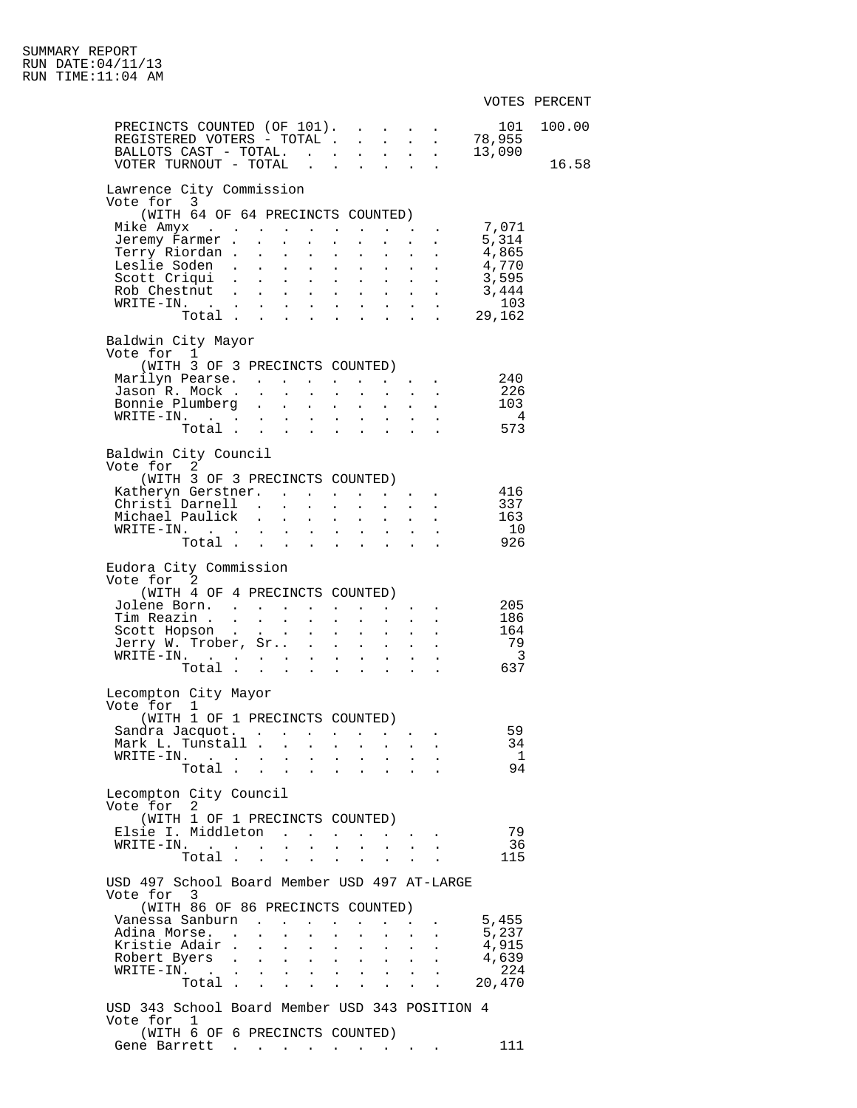|                                                              |              |                                          |                                                               |                             |                                                             |                                                              |                                                           |                                                                                                                                                                                                                                                                                                                                                                                                                                                                                   |                                           | VOTES PERCENT |
|--------------------------------------------------------------|--------------|------------------------------------------|---------------------------------------------------------------|-----------------------------|-------------------------------------------------------------|--------------------------------------------------------------|-----------------------------------------------------------|-----------------------------------------------------------------------------------------------------------------------------------------------------------------------------------------------------------------------------------------------------------------------------------------------------------------------------------------------------------------------------------------------------------------------------------------------------------------------------------|-------------------------------------------|---------------|
|                                                              |              |                                          |                                                               |                             |                                                             |                                                              |                                                           |                                                                                                                                                                                                                                                                                                                                                                                                                                                                                   | 101                                       | 100.00        |
|                                                              |              |                                          |                                                               |                             |                                                             |                                                              |                                                           |                                                                                                                                                                                                                                                                                                                                                                                                                                                                                   |                                           |               |
|                                                              |              |                                          |                                                               |                             |                                                             |                                                              |                                                           |                                                                                                                                                                                                                                                                                                                                                                                                                                                                                   |                                           |               |
| VOTER TURNOUT - TOTAL                                        |              |                                          |                                                               |                             |                                                             |                                                              |                                                           | $\mathbf{r} = \mathbf{r} + \mathbf{r}$                                                                                                                                                                                                                                                                                                                                                                                                                                            |                                           | 16.58         |
| Lawrence City Commission                                     |              |                                          |                                                               |                             |                                                             |                                                              |                                                           |                                                                                                                                                                                                                                                                                                                                                                                                                                                                                   |                                           |               |
| Vote for 3<br>(WITH 64 OF 64 PRECINCTS COUNTED)              |              |                                          |                                                               |                             |                                                             |                                                              |                                                           |                                                                                                                                                                                                                                                                                                                                                                                                                                                                                   |                                           |               |
| Mike Amyx                                                    |              |                                          |                                                               |                             |                                                             |                                                              |                                                           | $\mathbf{r} = \mathbf{r} + \mathbf{r}$ , where $\mathbf{r}$                                                                                                                                                                                                                                                                                                                                                                                                                       | 7,071                                     |               |
| Jeremy Farmer .                                              | $\mathbf{L}$ | $\Delta \sim 10^{-11}$                   | $\mathbf{L}^{\text{max}}$                                     | $\mathbf{L}$                | $\mathbf{L}^{\text{max}}$                                   |                                                              | $\mathbf{L}^{\text{max}}$ , and $\mathbf{L}^{\text{max}}$ |                                                                                                                                                                                                                                                                                                                                                                                                                                                                                   |                                           |               |
| Terry Riordan .                                              |              | $\mathbf{L} = \mathbf{L} \mathbf{L}$     |                                                               |                             | $\mathbf{r} = \mathbf{r} + \mathbf{r}$                      |                                                              |                                                           | $\mathbf{r} = \mathbf{r} \times \mathbf{r}$                                                                                                                                                                                                                                                                                                                                                                                                                                       | 5,314<br>4,865                            |               |
| Leslie Soden                                                 |              |                                          | $\sim 100$                                                    | $\mathbf{z} = \mathbf{z}$   | $\sim 100$                                                  |                                                              |                                                           | $\mathcal{L}^{\text{max}}(\mathcal{L}^{\text{max}})$                                                                                                                                                                                                                                                                                                                                                                                                                              | 4,770<br>3,595                            |               |
| Scott Criqui                                                 |              |                                          |                                                               |                             | $\mathbf{r} = \mathbf{r} + \mathbf{r}$                      |                                                              |                                                           | $\mathbf{1}$ and $\mathbf{1}$ and $\mathbf{1}$ and $\mathbf{1}$                                                                                                                                                                                                                                                                                                                                                                                                                   |                                           |               |
| Rob Chestnut .                                               | $\sim$       | $\sim 10^{-10}$                          | $\sim 100$                                                    | $\sim$                      | $\sim 100$                                                  |                                                              |                                                           | $\mathbf{L} = \mathbf{L} \mathbf{L} + \mathbf{L} \mathbf{L}$                                                                                                                                                                                                                                                                                                                                                                                                                      | 3,444<br>103                              |               |
| $\texttt{WRTTE-IN.}$<br>Total                                |              |                                          |                                                               |                             | $\mathbf{L} = \mathbf{L}$                                   | $\mathbf{L}^{\text{max}}$                                    |                                                           | $\mathbf{r} = \mathbf{r} \times \mathbf{r}$ , where $\mathbf{r} = \mathbf{r} \times \mathbf{r}$                                                                                                                                                                                                                                                                                                                                                                                   | . 29,162                                  |               |
|                                                              |              |                                          |                                                               |                             |                                                             |                                                              |                                                           |                                                                                                                                                                                                                                                                                                                                                                                                                                                                                   |                                           |               |
| Baldwin City Mayor                                           |              |                                          |                                                               |                             |                                                             |                                                              |                                                           |                                                                                                                                                                                                                                                                                                                                                                                                                                                                                   |                                           |               |
| Vote for 1<br>(WITH 3 OF 3 PRECINCTS COUNTED)                |              |                                          |                                                               |                             |                                                             |                                                              |                                                           |                                                                                                                                                                                                                                                                                                                                                                                                                                                                                   |                                           |               |
| Marilyn Pearse.                                              |              |                                          |                                                               |                             |                                                             |                                                              |                                                           |                                                                                                                                                                                                                                                                                                                                                                                                                                                                                   | 240                                       |               |
| Jason R. Mock                                                |              |                                          |                                                               | $\sim 10^{-1}$              |                                                             |                                                              |                                                           |                                                                                                                                                                                                                                                                                                                                                                                                                                                                                   |                                           |               |
| Bonnie Plumberg                                              |              |                                          |                                                               |                             |                                                             |                                                              |                                                           | $\begin{aligned} \frac{1}{\sqrt{2}}\left(\frac{1}{\sqrt{2}}\right) & = \frac{1}{2}\left(\frac{1}{\sqrt{2}}\right) & = \frac{1}{2}\left(\frac{1}{2}\right) & = \frac{1}{2}\left(\frac{1}{2}\right) & = \frac{1}{2}\left(\frac{1}{2}\right) & = \frac{1}{2}\left(\frac{1}{2}\right) & = \frac{1}{2}\left(\frac{1}{2}\right) & = \frac{1}{2}\left(\frac{1}{2}\right) & = \frac{1}{2}\left(\frac{1}{2}\right) & = \frac{1}{2}\left(\frac{1}{2}\right) & = \frac{1}{2}\left(\frac{1}{$ | 226<br>103                                |               |
|                                                              |              |                                          |                                                               |                             |                                                             |                                                              |                                                           |                                                                                                                                                                                                                                                                                                                                                                                                                                                                                   | $\overline{4}$                            |               |
|                                                              |              |                                          |                                                               |                             |                                                             |                                                              |                                                           |                                                                                                                                                                                                                                                                                                                                                                                                                                                                                   | 573                                       |               |
| Baldwin City Council                                         |              |                                          |                                                               |                             |                                                             |                                                              |                                                           |                                                                                                                                                                                                                                                                                                                                                                                                                                                                                   |                                           |               |
| Vote for 2                                                   |              |                                          |                                                               |                             |                                                             |                                                              |                                                           |                                                                                                                                                                                                                                                                                                                                                                                                                                                                                   |                                           |               |
| (WITH 3 OF 3 PRECINCTS COUNTED)                              |              |                                          |                                                               |                             |                                                             |                                                              |                                                           |                                                                                                                                                                                                                                                                                                                                                                                                                                                                                   |                                           |               |
| Katheryn Gerstner.                                           |              |                                          |                                                               |                             |                                                             |                                                              |                                                           |                                                                                                                                                                                                                                                                                                                                                                                                                                                                                   | 416                                       |               |
| Christi Darnell                                              |              |                                          | $\mathbf{A}$                                                  |                             |                                                             | $\mathbf{L} = \mathbf{L} \mathbf{L} + \mathbf{L} \mathbf{L}$ |                                                           |                                                                                                                                                                                                                                                                                                                                                                                                                                                                                   | 337                                       |               |
| Michael Paulick                                              |              |                                          |                                                               | $\mathbf{L}^{\text{max}}$   | $\bullet$ .<br><br><br><br><br><br><br><br><br><br><br><br> | $\mathbf{L}^{\text{max}}$                                    |                                                           | $\mathbf{L}^{\text{max}}$ , $\mathbf{L}^{\text{max}}$                                                                                                                                                                                                                                                                                                                                                                                                                             | 163<br>10                                 |               |
| $\texttt{WRTTE-IN.}$<br>[.<br>Total                          |              |                                          |                                                               |                             | $\mathbf{L}$ and $\mathbf{L}$                               | $\mathbf{z} = \mathbf{z}$<br><b>All Carried Control</b>      |                                                           | $\mathbf{L}$ and $\mathbf{L}$<br>$\cdot$ $\cdot$                                                                                                                                                                                                                                                                                                                                                                                                                                  | 926                                       |               |
|                                                              |              |                                          |                                                               |                             |                                                             |                                                              |                                                           |                                                                                                                                                                                                                                                                                                                                                                                                                                                                                   |                                           |               |
| Eudora City Commission                                       |              |                                          |                                                               |                             |                                                             |                                                              |                                                           |                                                                                                                                                                                                                                                                                                                                                                                                                                                                                   |                                           |               |
| Vote for 2                                                   |              |                                          |                                                               |                             |                                                             |                                                              |                                                           |                                                                                                                                                                                                                                                                                                                                                                                                                                                                                   |                                           |               |
| (WITH 4 OF 4 PRECINCTS COUNTED)                              |              |                                          |                                                               |                             |                                                             |                                                              |                                                           |                                                                                                                                                                                                                                                                                                                                                                                                                                                                                   |                                           |               |
| Jolene Born.<br>Tim Reazin                                   |              |                                          | $\mathcal{L}^{\text{max}}$ , where $\mathcal{L}^{\text{max}}$ | $\mathbf{L}$                |                                                             |                                                              |                                                           | $\mathbf{L}^{\text{max}}$ , and $\mathbf{L}^{\text{max}}$ , and                                                                                                                                                                                                                                                                                                                                                                                                                   | 205                                       |               |
| Scott Hopson                                                 |              |                                          |                                                               |                             | $\mathbf{L}^{\text{max}}$<br>$\mathbf{L}^{\text{max}}$      |                                                              | $\mathbf{z} = \mathbf{z} + \mathbf{z}$ .                  | $\mathbf{r} = \mathbf{r} \mathbf{r}$ , where $\mathbf{r} = \mathbf{r} \mathbf{r}$                                                                                                                                                                                                                                                                                                                                                                                                 | $\begin{array}{c} 186 \\ 164 \end{array}$ |               |
| Jerry W. Trober, Sr .                                        |              |                                          |                                                               | $\sim$                      | $\sim$ $-$                                                  | $\mathbf{z} = \mathbf{z}$                                    |                                                           |                                                                                                                                                                                                                                                                                                                                                                                                                                                                                   | 79                                        |               |
| $\overline{\text{WRTTE}} - \text{IN}.$                       |              |                                          |                                                               |                             | $\mathbf{L} = \mathbf{L}$                                   | $\mathbf{L}^{\text{max}}$                                    |                                                           | $\mathcal{L}^{\text{max}}$                                                                                                                                                                                                                                                                                                                                                                                                                                                        | $\overline{\phantom{a}}$                  |               |
| Total                                                        |              |                                          |                                                               |                             | $\mathbf{r} = \mathbf{r}$                                   | $\sim$                                                       |                                                           |                                                                                                                                                                                                                                                                                                                                                                                                                                                                                   | 637                                       |               |
| Lecompton City Mayor                                         |              |                                          |                                                               |                             |                                                             |                                                              |                                                           |                                                                                                                                                                                                                                                                                                                                                                                                                                                                                   |                                           |               |
| Vote for 1                                                   |              |                                          |                                                               |                             |                                                             |                                                              |                                                           |                                                                                                                                                                                                                                                                                                                                                                                                                                                                                   |                                           |               |
| (WITH 1 OF 1 PRECINCTS COUNTED)                              |              |                                          |                                                               |                             |                                                             |                                                              |                                                           |                                                                                                                                                                                                                                                                                                                                                                                                                                                                                   |                                           |               |
| Sandra Jacquot.                                              |              |                                          |                                                               |                             |                                                             |                                                              |                                                           |                                                                                                                                                                                                                                                                                                                                                                                                                                                                                   | 59                                        |               |
| Mark L. Tunstall .                                           |              | $\mathbf{L}^{\text{max}}$                | $\mathbf{L}^{\text{max}}$                                     |                             |                                                             |                                                              |                                                           |                                                                                                                                                                                                                                                                                                                                                                                                                                                                                   | 34                                        |               |
| $WRITE-IN.$                                                  |              | $\mathbf{L}^{\text{max}}$                | $\mathbf{L}^{\text{max}}$                                     | $\sim$ 100 $\pm$            |                                                             |                                                              |                                                           |                                                                                                                                                                                                                                                                                                                                                                                                                                                                                   | $\mathbf{1}$                              |               |
| Total .                                                      |              | <b>All Carl Carl Co.</b>                 |                                                               |                             | $\sim$ $\sim$                                               |                                                              |                                                           |                                                                                                                                                                                                                                                                                                                                                                                                                                                                                   | 94                                        |               |
| Lecompton City Council                                       |              |                                          |                                                               |                             |                                                             |                                                              |                                                           |                                                                                                                                                                                                                                                                                                                                                                                                                                                                                   |                                           |               |
| Vote for 2                                                   |              |                                          |                                                               |                             |                                                             |                                                              |                                                           |                                                                                                                                                                                                                                                                                                                                                                                                                                                                                   |                                           |               |
| (WITH 1 OF 1 PRECINCTS COUNTED)                              |              |                                          |                                                               |                             |                                                             |                                                              |                                                           |                                                                                                                                                                                                                                                                                                                                                                                                                                                                                   |                                           |               |
| Elsie I. Middleton                                           |              |                                          |                                                               |                             |                                                             |                                                              |                                                           | $\mathbf{a}$ , and $\mathbf{a}$ , and $\mathbf{a}$                                                                                                                                                                                                                                                                                                                                                                                                                                | 79                                        |               |
| $\texttt{WRITE-IN.} \quad . \quad . \quad . \quad . \quad .$ |              |                                          |                                                               | $\mathcal{L}^{\text{max}}$  |                                                             | $\mathbf{L} = \mathbf{L}$                                    | $\sim$                                                    |                                                                                                                                                                                                                                                                                                                                                                                                                                                                                   | 36                                        |               |
|                                                              | Total        |                                          |                                                               |                             |                                                             |                                                              |                                                           |                                                                                                                                                                                                                                                                                                                                                                                                                                                                                   | 115                                       |               |
| USD 497 School Board Member USD 497 AT-LARGE                 |              |                                          |                                                               |                             |                                                             |                                                              |                                                           |                                                                                                                                                                                                                                                                                                                                                                                                                                                                                   |                                           |               |
| Vote for 3                                                   |              |                                          |                                                               |                             |                                                             |                                                              |                                                           |                                                                                                                                                                                                                                                                                                                                                                                                                                                                                   |                                           |               |
| (WITH 86 OF 86 PRECINCTS COUNTED)                            |              |                                          |                                                               |                             |                                                             |                                                              |                                                           |                                                                                                                                                                                                                                                                                                                                                                                                                                                                                   |                                           |               |
| Vanessa Sanburn                                              |              |                                          |                                                               |                             |                                                             |                                                              |                                                           |                                                                                                                                                                                                                                                                                                                                                                                                                                                                                   | 5,455                                     |               |
| Adina Morse. .                                               |              |                                          |                                                               |                             |                                                             |                                                              |                                                           |                                                                                                                                                                                                                                                                                                                                                                                                                                                                                   | 5,237                                     |               |
| Kristie Adair .<br>Robert Byers                              |              | $\bullet$ .<br>$\mathbf{L}^{\text{max}}$ | $\bullet$ .<br>$\mathbf{L}$                                   | $\bullet$ .<br>$\mathbf{L}$ | $\bullet$ .                                                 | $\bullet$ . $\bullet$                                        |                                                           |                                                                                                                                                                                                                                                                                                                                                                                                                                                                                   | 4,915<br>4,639                            |               |
| $\texttt{WRTTE-IN.}$                                         |              |                                          |                                                               |                             |                                                             | $\mathbf{r} = \mathbf{r} + \mathbf{r} + \mathbf{r}$ .        | $\sim$                                                    |                                                                                                                                                                                                                                                                                                                                                                                                                                                                                   | 224                                       |               |
| Total .                                                      |              | <b>Service State</b>                     | $\mathbf{L}$                                                  | $\ddot{\phantom{a}}$        |                                                             |                                                              |                                                           |                                                                                                                                                                                                                                                                                                                                                                                                                                                                                   | 20,470                                    |               |
|                                                              |              |                                          |                                                               |                             |                                                             |                                                              |                                                           |                                                                                                                                                                                                                                                                                                                                                                                                                                                                                   |                                           |               |
| USD 343 School Board Member USD 343 POSITION 4               |              |                                          |                                                               |                             |                                                             |                                                              |                                                           |                                                                                                                                                                                                                                                                                                                                                                                                                                                                                   |                                           |               |
| Vote for 1<br>(WITH 6 OF 6 PRECINCTS COUNTED)                |              |                                          |                                                               |                             |                                                             |                                                              |                                                           |                                                                                                                                                                                                                                                                                                                                                                                                                                                                                   |                                           |               |
| Gene Barrett                                                 |              |                                          |                                                               |                             |                                                             |                                                              |                                                           |                                                                                                                                                                                                                                                                                                                                                                                                                                                                                   | 111                                       |               |
|                                                              |              |                                          |                                                               |                             |                                                             |                                                              |                                                           |                                                                                                                                                                                                                                                                                                                                                                                                                                                                                   |                                           |               |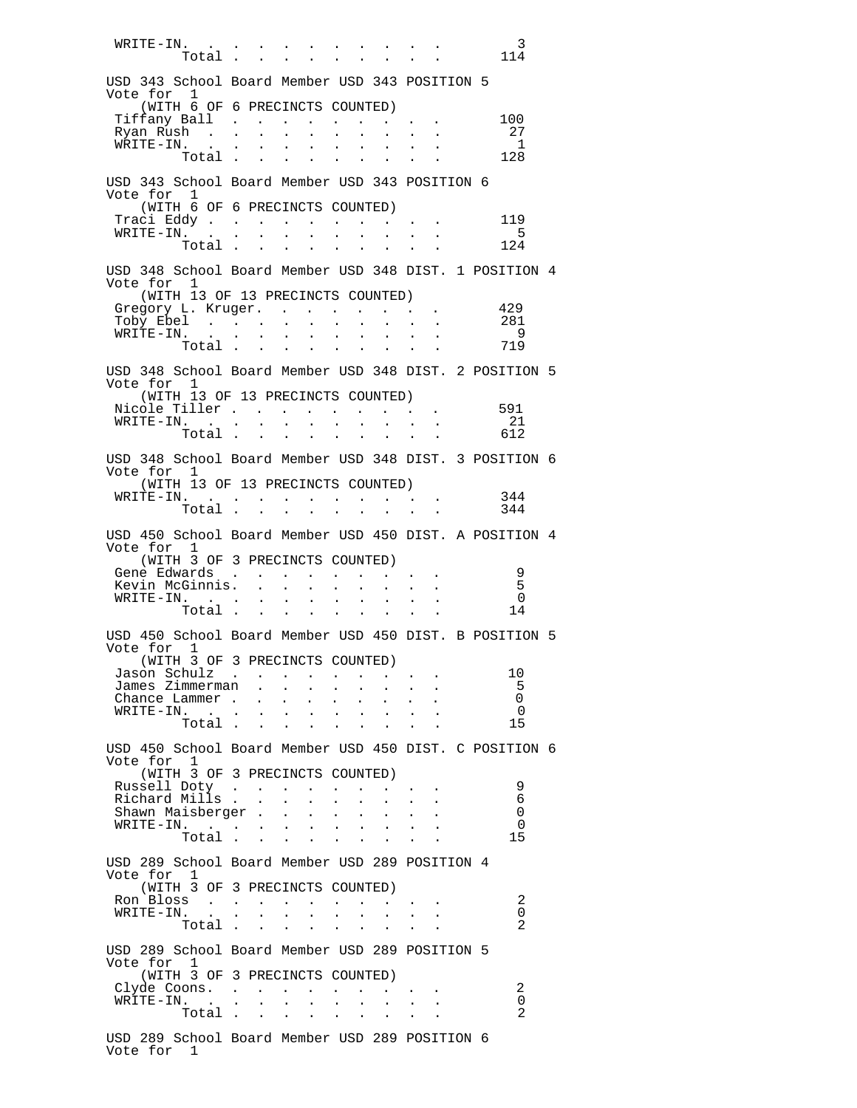WRITE-IN. . . . . . . . . . . . . . . 3  $Total \, . \, . \, . \, . \, . \, . \, . \, . \, . \, . \, . \, 114$  USD 343 School Board Member USD 343 POSITION 5 Vote for 1 (WITH 6 OF 6 PRECINCTS COUNTED) Tiffany Ball . . . . . . . . . 100<br>Ryan Rush . . . . . . . . . . . . 27<br>ELEMENTER Ryan Rush . . . . . . . . . . . . . 27<br>WRITE-IN. . . . . . . . . . . . . 1 WRITE-IN. . . . . . . . . . . 1<br>Total . . . . . . . . . 128  $Total$  . . . . . . . . 128 USD 343 School Board Member USD 343 POSITION 6 Vote for 1 (WITH 6 OF 6 PRECINCTS COUNTED) Traci Eddy . . . . . . . . . . . 119<br>WRITE-IN. . . . . . . . . . . 5 WRITE-IN. . . . . . . . . . . 5 Total . . . USD 348 School Board Member USD 348 DIST. 1 POSITION 4 Vote for 1 (WITH 13 OF 13 PRECINCTS COUNTED) Gregory L. Kruger. . . . . . . . . 429<br>Toby Ebel . . . . . . . . . . . . 281 Toby Ebel . . . . . . . . . . 281 write in the set of the set of the set of the set of the set of the set of the set of the set of the set of th<br>Moral Set of the set of the set of the set of the set of the set of the set of the set of the set of the set o Total . . USD 348 School Board Member USD 348 DIST. 2 POSITION 5 Vote for 1 (WITH 13 OF 13 PRECINCTS COUNTED) Nicole Tiller . . . . . . . . . . 591<br>WRITE-IN. . . . . . . . . . . . . 21 WRITE-IN. . . . . . . . . . . . . . 21 Total . . . . . . . . . 612 USD 348 School Board Member USD 348 DIST. 3 POSITION 6 Vote for 1 (WITH 13 OF 13 PRECINCTS COUNTED) WRITE-IN. . . . . . . . . . . 344 Total . . . . . . . . . 344 USD 450 School Board Member USD 450 DIST. A POSITION 4 Vote for 1 (WITH 3 OF 3 PRECINCTS COUNTED) Gene Edwards . . . . . . . . . . 9<br>Kevin McGinnis. . . . . . . . . . . 5 Kevin McGinnis. . . . . . . . . 5 WRITE-IN. . . . . . . . . . . . . . . 0  $Total \, . \, . \, . \, . \, . \, . \, . \, . \, . \, . \, . \, . \, 14$  USD 450 School Board Member USD 450 DIST. B POSITION 5 Vote for 1 (WITH 3 OF 3 PRECINCTS COUNTED) Jason Schulz . . . . . . . . . 10 James Zimmerman . . . . . . . . 5 Chance Lammer . . . . . . . . . . . 0 WRITE-IN. . . . . . . . . . . . . . 0  $Total \, . \, . \, . \, . \, . \, . \, . \, . \, . \, . \, . \, . \, 15$  USD 450 School Board Member USD 450 DIST. C POSITION 6 Vote for 1 (WITH 3 OF 3 PRECINCTS COUNTED) Russell Doty . . . . . . . . . 9 Richard Mills . . . . . . . . . . . . 6<br>Shawn Maisberger . . . . . . . . . . 0 Shawn Maisberger . . . . . . . . . 0<br>WRITE-IN. . . . . . . . . . . . 0 WRITE-IN. . . . . . . . . . . 0<br>Total . . . . . . . . . . . . . 15 Total . . USD 289 School Board Member USD 289 POSITION 4 Vote for 1 (WITH 3 OF 3 PRECINCTS COUNTED) Ron Bloss . . . . . . . . . . . . . 2<br>WRITE-IN. . . . . . . . . . . . . 0 WRITE-IN. . . . . . . . . . . . . . . 0 Total . . . . . . . . . 2 USD 289 School Board Member USD 289 POSITION 5 Vote for 1 (WITH 3 OF 3 PRECINCTS COUNTED)<br>yde Coons. . . . . . . . . Clyde Coons. . . . . . . . . . . . . 2<br>WRITE-IN. . . . . . . . . . . . . . 0 WRITE-IN. . . . . . . . . . . 0 Total . . .

 USD 289 School Board Member USD 289 POSITION 6 Vote for 1